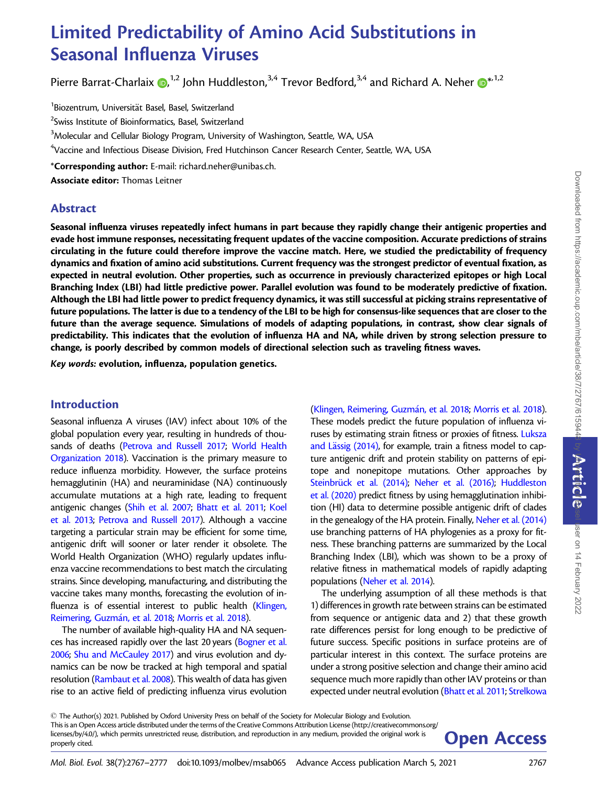# Limited Predictability of Amino Acid Substitutions in Seasonal Influenza Viruses

Pierre Barrat-Charlaix  $\bm{\odot}^{1,2}$  $\bm{\odot}^{1,2}$  $\bm{\odot}^{1,2}$  John Huddleston, $^{3,4}$  Trevor Bedford, $^{3,4}$  and Richard A. Neher  $\bm{\odot}^{*,1,2}$ 

<sup>1</sup>Biozentrum, Universität Basel, Basel, Switzerland

 $^2$ Swiss Institute of Bioinformatics, Basel, Switzerland

 $^3$ Molecular and Cellular Biology Program, University of Washington, Seattle, WA, USA

4 Vaccine and Infectious Disease Division, Fred Hutchinson Cancer Research Center, Seattle, WA, USA

\*Corresponding author: E-mail: richard.neher@unibas.ch.

Associate editor: Thomas Leitner

# Abstract

Seasonal influenza viruses repeatedly infect humans in part because they rapidly change their antigenic properties and evade host immune responses, necessitating frequent updates of the vaccine composition. Accurate predictions of strains circulating in the future could therefore improve the vaccine match. Here, we studied the predictability of frequency dynamics and fixation of amino acid substitutions. Current frequency was the strongest predictor of eventual fixation, as expected in neutral evolution. Other properties, such as occurrence in previously characterized epitopes or high Local Branching Index (LBI) had little predictive power. Parallel evolution was found to be moderately predictive of fixation. Although the LBI had little power to predict frequency dynamics, it was still successful at picking strains representative of future populations. The latter is due to a tendency of the LBI to be high for consensus-like sequences that are closer to the future than the average sequence. Simulations of models of adapting populations, in contrast, show clear signals of predictability. This indicates that the evolution of influenza HA and NA, while driven by strong selection pressure to change, is poorly described by common models of directional selection such as traveling fitness waves.

Key words: evolution, influenza, population genetics.

# Introduction

Seasonal influenza A viruses (IAV) infect about 10% of the global population every year, resulting in hundreds of thousands of deaths [\(Petrova and Russell 2017](#page-10-0); [World Health](#page-10-0) [Organization 2018\)](#page-10-0). Vaccination is the primary measure to reduce influenza morbidity. However, the surface proteins hemagglutinin (HA) and neuraminidase (NA) continuously accumulate mutations at a high rate, leading to frequent antigenic changes ([Shih et al. 2007](#page-10-0); [Bhatt et al. 2011;](#page-10-0) [Koel](#page-10-0) [et al. 2013;](#page-10-0) [Petrova and Russell 2017\)](#page-10-0). Although a vaccine targeting a particular strain may be efficient for some time, antigenic drift will sooner or later render it obsolete. The World Health Organization (WHO) regularly updates influenza vaccine recommendations to best match the circulating strains. Since developing, manufacturing, and distributing the vaccine takes many months, forecasting the evolution of in-fluenza is of essential interest to public health [\(Klingen,](#page-10-0) [Reimering, Guzm](#page-10-0)án, et al. 2018; [Morris et al. 2018\)](#page-10-0).

The number of available high-quality HA and NA sequences has increased rapidly over the last 20 years [\(Bogner et al.](#page-10-0) [2006;](#page-10-0) [Shu and McCauley 2017\)](#page-10-0) and virus evolution and dynamics can be now be tracked at high temporal and spatial resolution [\(Rambaut et al. 2008\)](#page-10-0). This wealth of data has given rise to an active field of predicting influenza virus evolution

[\(Klingen, Reimering, Guzm](#page-10-0)á[n, et al. 2018](#page-10-0); [Morris et al. 2018\)](#page-10-0). These models predict the future population of influenza vi-ruses by estimating strain fitness or proxies of fitness. [Luksza](#page-10-0) [and L](#page-10-0)ä[ssig \(2014\),](#page-10-0) for example, train a fitness model to capture antigenic drift and protein stability on patterns of epitope and nonepitope mutations. Other approaches by Steinbrück et al. (2014); [Neher et al. \(2016\)](#page-10-0); [Huddleston](#page-10-0) [et al. \(2020\)](#page-10-0) predict fitness by using hemagglutination inhibition (HI) data to determine possible antigenic drift of clades in the genealogy of the HA protein. Finally, [Neher et al. \(2014\)](#page-10-0) use branching patterns of HA phylogenies as a proxy for fitness. These branching patterns are summarized by the Local Branching Index (LBI), which was shown to be a proxy of relative fitness in mathematical models of rapidly adapting populations [\(Neher et al. 2014\)](#page-10-0).

The underlying assumption of all these methods is that 1) differences in growth rate between strains can be estimated from sequence or antigenic data and 2) that these growth rate differences persist for long enough to be predictive of future success. Specific positions in surface proteins are of particular interest in this context. The surface proteins are under a strong positive selection and change their amino acid sequence much more rapidly than other IAV proteins or than expected under neutral evolution [\(Bhatt et al. 2011](#page-10-0); [Strelkowa](#page-10-0)

<sup>-</sup> The Author(s) 2021. Published by Oxford University Press on behalf of the Society for Molecular Biology and Evolution. This is an Open Access article distributed under the terms of the Creative Commons Attribution License (http://creativecommons.org/ licenses/by/4.0/), which permits unrestricted reuse, distribution, and reproduction in any medium, provided the original work is **Open Access** 

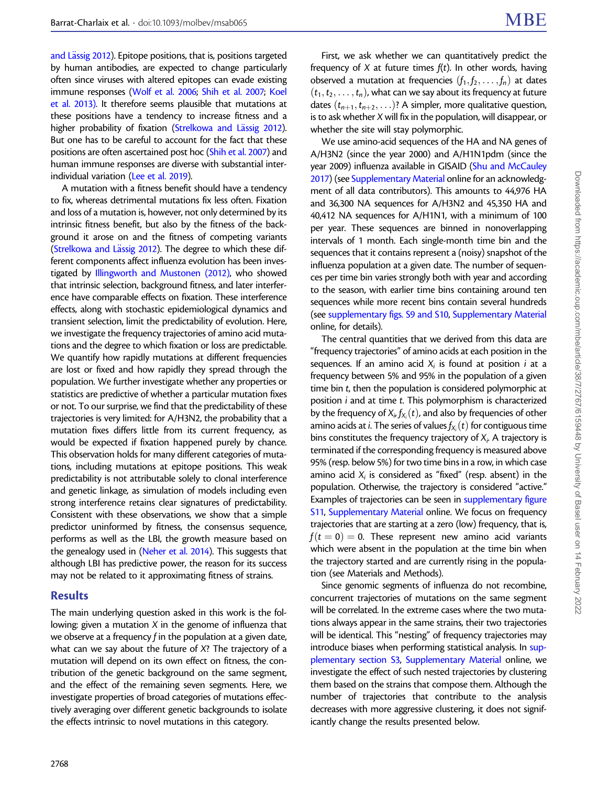[and L](#page-10-0)ässig 2012). Epitope positions, that is, positions targeted by human antibodies, are expected to change particularly often since viruses with altered epitopes can evade existing immune responses ([Wolf et al. 2006;](#page-10-0) [Shih et al. 2007;](#page-10-0) [Koel](#page-10-0) [et al. 2013\)](#page-10-0). It therefore seems plausible that mutations at these positions have a tendency to increase fitness and a higher probability of fixation [\(Strelkowa and L](#page-10-0)ä[ssig 2012\)](#page-10-0). But one has to be careful to account for the fact that these positions are often ascertained post hoc ([Shih et al. 2007\)](#page-10-0) and human immune responses are diverse with substantial inter-individual variation [\(Lee et al. 2019\)](#page-10-0).

A mutation with a fitness benefit should have a tendency to fix, whereas detrimental mutations fix less often. Fixation and loss of a mutation is, however, not only determined by its intrinsic fitness benefit, but also by the fitness of the background it arose on and the fitness of competing variants ([Strelkowa and L](#page-10-0)ässig 2012). The degree to which these different components affect influenza evolution has been investigated by [Illingworth and Mustonen \(2012\),](#page-10-0) who showed that intrinsic selection, background fitness, and later interference have comparable effects on fixation. These interference effects, along with stochastic epidemiological dynamics and transient selection, limit the predictability of evolution. Here, we investigate the frequency trajectories of amino acid mutations and the degree to which fixation or loss are predictable. We quantify how rapidly mutations at different frequencies are lost or fixed and how rapidly they spread through the population. We further investigate whether any properties or statistics are predictive of whether a particular mutation fixes or not. To our surprise, we find that the predictability of these trajectories is very limited: for A/H3N2, the probability that a mutation fixes differs little from its current frequency, as would be expected if fixation happened purely by chance. This observation holds for many different categories of mutations, including mutations at epitope positions. This weak predictability is not attributable solely to clonal interference and genetic linkage, as simulation of models including even strong interference retains clear signatures of predictability. Consistent with these observations, we show that a simple predictor uninformed by fitness, the consensus sequence, performs as well as the LBI, the growth measure based on the genealogy used in ([Neher et al. 2014](#page-10-0)). This suggests that although LBI has predictive power, the reason for its success may not be related to it approximating fitness of strains.

# Results

The main underlying question asked in this work is the following: given a mutation  $X$  in the genome of influenza that we observe at a frequency  $f$  in the population at a given date, what can we say about the future of X? The trajectory of a mutation will depend on its own effect on fitness, the contribution of the genetic background on the same segment, and the effect of the remaining seven segments. Here, we investigate properties of broad categories of mutations effectively averaging over different genetic backgrounds to isolate the effects intrinsic to novel mutations in this category.

First, we ask whether we can quantitatively predict the frequency of X at future times  $f(t)$ . In other words, having observed a mutation at frequencies  $(f_1, f_2, \ldots, f_n)$  at dates  $(t_1, t_2, \ldots, t_n)$ , what can we say about its frequency at future dates  $(t_{n+1}, t_{n+2}, \ldots)$ ? A simpler, more qualitative question, is to ask whether X will fix in the population, will disappear, or whether the site will stay polymorphic.

We use amino-acid sequences of the HA and NA genes of A/H3N2 (since the year 2000) and A/H1N1pdm (since the year 2009) influenza available in GISAID ([Shu and McCauley](#page-10-0) [2017\)](#page-10-0) (see Supplementary Material online for an acknowledgment of all data contributors). This amounts to 44,976 HA and 36,300 NA sequences for A/H3N2 and 45,350 HA and 40,412 NA sequences for A/H1N1, with a minimum of 100 per year. These sequences are binned in nonoverlapping intervals of 1 month. Each single-month time bin and the sequences that it contains represent a (noisy) snapshot of the influenza population at a given date. The number of sequences per time bin varies strongly both with year and according to the season, with earlier time bins containing around ten sequences while more recent bins contain several hundreds (see supplementary figs. S9 and S10, Supplementary Material online, for details).

The central quantities that we derived from this data are "frequency trajectories" of amino acids at each position in the sequences. If an amino acid  $X_i$  is found at position *i* at a frequency between 5% and 95% in the population of a given time bin t, then the population is considered polymorphic at position i and at time t. This polymorphism is characterized by the frequency of  $X_i, f_{X_i}(t)$ , and also by frequencies of other amino acids at *i*. The series of values  $f_{X_i}(t)$  for contiguous time bins constitutes the frequency trajectory of  $X_i$ . A trajectory is terminated if the corresponding frequency is measured above 95% (resp. below 5%) for two time bins in a row, in which case amino acid  $X_i$  is considered as "fixed" (resp. absent) in the population. Otherwise, the trajectory is considered "active." Examples of trajectories can be seen in supplementary figure S11, Supplementary Material online. We focus on frequency trajectories that are starting at a zero (low) frequency, that is,  $f(t = 0) = 0$ . These represent new amino acid variants which were absent in the population at the time bin when the trajectory started and are currently rising in the population (see Materials and Methods).

Since genomic segments of influenza do not recombine, concurrent trajectories of mutations on the same segment will be correlated. In the extreme cases where the two mutations always appear in the same strains, their two trajectories will be identical. This "nesting" of frequency trajectories may introduce biases when performing statistical analysis. In supplementary section S3, Supplementary Material online, we investigate the effect of such nested trajectories by clustering them based on the strains that compose them. Although the number of trajectories that contribute to the analysis decreases with more aggressive clustering, it does not significantly change the results presented below.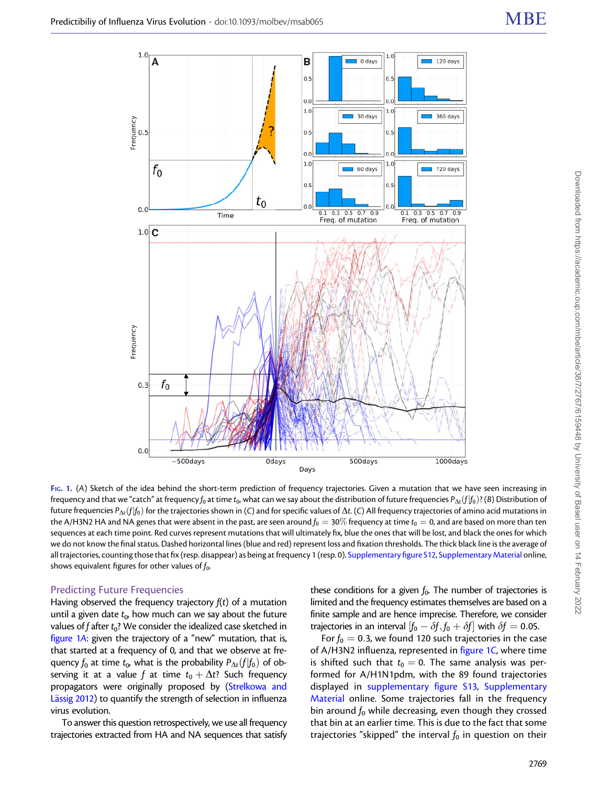<span id="page-2-0"></span>

FIG. 1. (A) Sketch of the idea behind the short-term prediction of frequency trajectories. Given a mutation that we have seen increasing in frequency and that we "catch" at frequency  $f_0$  at time  $t_0$ , what can we say about the distribution of future frequencies  $P_{\Lambda t}(f|f_0)$ ? (B) Distribution of future frequencies  $P_{\Delta t}(f|f_0)$  for the trajectories shown in (C) and for specific values of  $\Delta t$ . (C) All frequency trajectories of amino acid mutations in the A/H3N2 HA and NA genes that were absent in the past, are seen around  $f_0 = 30\%$  frequency at time  $t_0 = 0$ , and are based on more than ten sequences at each time point. Red curves represent mutations that will ultimately fix, blue the ones that will be lost, and black the ones for which we do not know the final status. Dashed horizontal lines (blue and red) represent loss and fixation thresholds. The thick black line is the average of all trajectories, counting those that fix (resp. disappear) as being at frequency 1 (resp. 0). Supplementary figure S12, Supplementary Material online, shows equivalent figures for other values of  $f_0$ .

#### Predicting Future Frequencies

Having observed the frequency trajectory  $f(t)$  of a mutation until a given date  $t_0$ , how much can we say about the future values of f after  $t_0$ ? We consider the idealized case sketched in figure 1A: given the trajectory of a "new" mutation, that is, that started at a frequency of 0, and that we observe at frequency  $f_0$  at time  $t_0$ , what is the probability  $P_{\Delta t}(f|f_0)$  of observing it at a value f at time  $t_0 + \Delta t$ ? Such frequency propagators were originally proposed by ([Strelkowa and](#page-10-0) [L](#page-10-0)ässig 2012) to quantify the strength of selection in influenza virus evolution.

To answer this question retrospectively, we use all frequency trajectories extracted from HA and NA sequences that satisfy these conditions for a given  $f_0$ . The number of trajectories is limited and the frequency estimates themselves are based on a finite sample and are hence imprecise. Therefore, we consider trajectories in an interval  $[f_0 - \delta f, f_0 + \delta f]$  with  $\delta f = 0.05$ .

For  $f_0 = 0.3$ , we found 120 such trajectories in the case of A/H3N2 influenza, represented in figure 1C, where time is shifted such that  $t_0 = 0$ . The same analysis was performed for A/H1N1pdm, with the 89 found trajectories displayed in supplementary figure S13, Supplementary Material online. Some trajectories fall in the frequency bin around  $f_0$  while decreasing, even though they crossed that bin at an earlier time. This is due to the fact that some trajectories "skipped" the interval  $f_0$  in question on their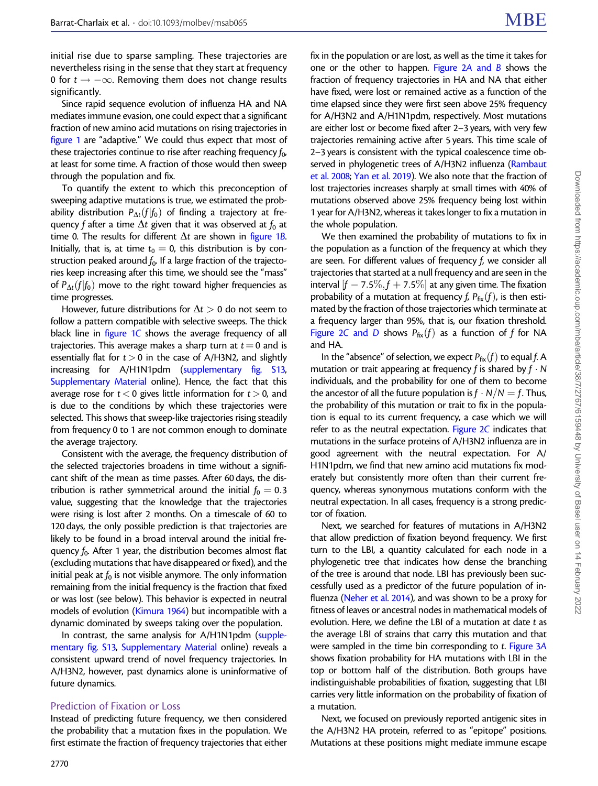initial rise due to sparse sampling. These trajectories are nevertheless rising in the sense that they start at frequency 0 for  $t\to -\infty$ . Removing them does not change results significantly.

Since rapid sequence evolution of influenza HA and NA mediates immune evasion, one could expect that a significant fraction of new amino acid mutations on rising trajectories in [figure 1](#page-2-0) are "adaptive." We could thus expect that most of these trajectories continue to rise after reaching frequency  $f_0$ , at least for some time. A fraction of those would then sweep through the population and fix.

To quantify the extent to which this preconception of sweeping adaptive mutations is true, we estimated the probability distribution  $P_{\Delta t}(f|f_0)$  of finding a trajectory at frequency f after a time  $\Delta t$  given that it was observed at  $f_0$  at time 0. The results for different  $\Delta t$  are shown in [figure 1](#page-2-0)B. Initially, that is, at time  $t_0 = 0$ , this distribution is by construction peaked around  $f_0$ . If a large fraction of the trajectories keep increasing after this time, we should see the "mass" of  $P_{\Delta t}(f|f_0)$  move to the right toward higher frequencies as time progresses.

However, future distributions for  $\Delta t > 0$  do not seem to follow a pattern compatible with selective sweeps. The thick black line in [figure 1](#page-2-0)C shows the average frequency of all trajectories. This average makes a sharp turn at  $t=0$  and is essentially flat for  $t > 0$  in the case of A/H3N2, and slightly increasing for A/H1N1pdm (supplementary fig. S13, Supplementary Material online). Hence, the fact that this average rose for  $t < 0$  gives little information for  $t > 0$ , and is due to the conditions by which these trajectories were selected. This shows that sweep-like trajectories rising steadily from frequency 0 to 1 are not common enough to dominate the average trajectory.

Consistent with the average, the frequency distribution of the selected trajectories broadens in time without a significant shift of the mean as time passes. After 60 days, the distribution is rather symmetrical around the initial  $f_0 = 0.3$ value, suggesting that the knowledge that the trajectories were rising is lost after 2 months. On a timescale of 60 to 120 days, the only possible prediction is that trajectories are likely to be found in a broad interval around the initial frequency  $f_0$ . After 1 year, the distribution becomes almost flat (excluding mutations that have disappeared or fixed), and the initial peak at  $f_0$  is not visible anymore. The only information remaining from the initial frequency is the fraction that fixed or was lost (see below). This behavior is expected in neutral models of evolution ([Kimura 1964\)](#page-10-0) but incompatible with a dynamic dominated by sweeps taking over the population.

In contrast, the same analysis for A/H1N1pdm (supplementary fig. S13, Supplementary Material online) reveals a consistent upward trend of novel frequency trajectories. In A/H3N2, however, past dynamics alone is uninformative of future dynamics.

# Prediction of Fixation or Loss

Instead of predicting future frequency, we then considered the probability that a mutation fixes in the population. We first estimate the fraction of frequency trajectories that either

fix in the population or are lost, as well as the time it takes for one or the other to happen. [Figure 2](#page-4-0)A and B shows the fraction of frequency trajectories in HA and NA that either have fixed, were lost or remained active as a function of the time elapsed since they were first seen above 25% frequency for A/H3N2 and A/H1N1pdm, respectively. Most mutations are either lost or become fixed after 2–3 years, with very few trajectories remaining active after 5 years. This time scale of 2–3 years is consistent with the typical coalescence time observed in phylogenetic trees of A/H3N2 influenza [\(Rambaut](#page-10-0) [et al. 2008](#page-10-0); [Yan et al. 2019](#page-10-0)). We also note that the fraction of lost trajectories increases sharply at small times with 40% of mutations observed above 25% frequency being lost within 1 year for A/H3N2, whereas it takes longer to fix a mutation in the whole population.

We then examined the probability of mutations to fix in the population as a function of the frequency at which they are seen. For different values of frequency f, we consider all trajectories that started at a null frequency and are seen in the interval  $[f-$  7.5 $\%,$   $f+$  7.5 $\%$ ] at any given time. The fixation probability of a mutation at frequency f,  $P_{fix}(f)$ , is then estimated by the fraction of those trajectories which terminate at a frequency larger than 95%, that is, our fixation threshold. [Figure 2](#page-4-0)C and D shows  $P_{fix}(f)$  as a function of f for NA and HA.

In the "absence" of selection, we expect  $P_{fix}(f)$  to equal f. A mutation or trait appearing at frequency f is shared by  $f \cdot N$ individuals, and the probability for one of them to become the ancestor of all the future population is  $f \cdot N/N = f$ . Thus, the probability of this mutation or trait to fix in the population is equal to its current frequency, a case which we will refer to as the neutral expectation. [Figure 2](#page-4-0)C indicates that mutations in the surface proteins of A/H3N2 influenza are in good agreement with the neutral expectation. For A/ H1N1pdm, we find that new amino acid mutations fix moderately but consistently more often than their current frequency, whereas synonymous mutations conform with the neutral expectation. In all cases, frequency is a strong predictor of fixation.

Next, we searched for features of mutations in A/H3N2 that allow prediction of fixation beyond frequency. We first turn to the LBI, a quantity calculated for each node in a phylogenetic tree that indicates how dense the branching of the tree is around that node. LBI has previously been successfully used as a predictor of the future population of in-fluenza ([Neher et al. 2014](#page-10-0)), and was shown to be a proxy for fitness of leaves or ancestral nodes in mathematical models of evolution. Here, we define the LBI of a mutation at date t as the average LBI of strains that carry this mutation and that were sampled in the time bin corresponding to t. [Figure 3](#page-5-0)A shows fixation probability for HA mutations with LBI in the top or bottom half of the distribution. Both groups have indistinguishable probabilities of fixation, suggesting that LBI carries very little information on the probability of fixation of a mutation.

Next, we focused on previously reported antigenic sites in the A/H3N2 HA protein, referred to as "epitope" positions. Mutations at these positions might mediate immune escape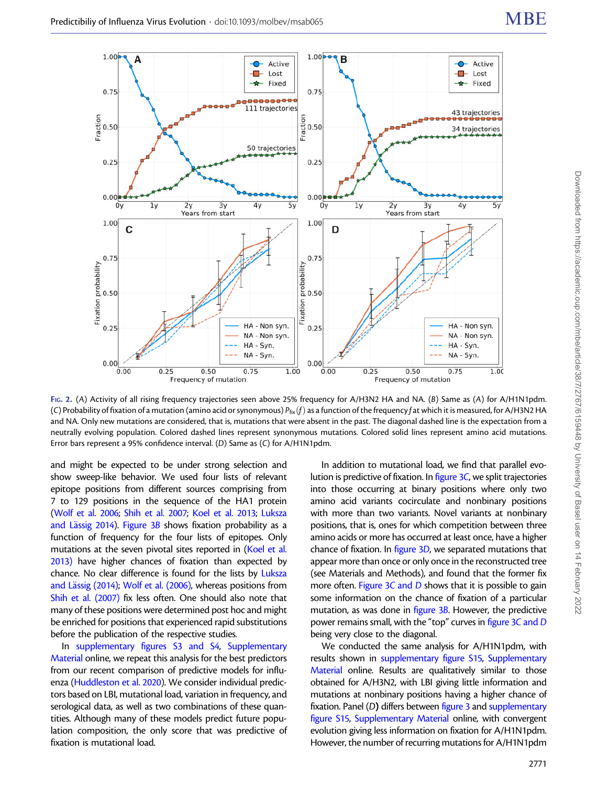<span id="page-4-0"></span>

FIG. 2. (A) Activity of all rising frequency trajectories seen above 25% frequency for A/H3N2 HA and NA. (B) Same as (A) for A/H1N1pdm. (C) Probability of fixation of a mutation (amino acid or synonymous)  $P_{fix}(f)$  as a function of the frequency f at which it is measured, for A/H3N2 HA and NA. Only new mutations are considered, that is, mutations that were absent in the past. The diagonal dashed line is the expectation from a neutrally evolving population. Colored dashed lines represent synonymous mutations. Colored solid lines represent amino acid mutations. Error bars represent a 95% confidence interval. (D) Same as (C) for A/H1N1pdm.

and might be expected to be under strong selection and show sweep-like behavior. We used four lists of relevant epitope positions from different sources comprising from 7 to 129 positions in the sequence of the HA1 protein ([Wolf et al. 2006](#page-10-0); [Shih et al. 2007](#page-10-0); [Koel et al. 2013;](#page-10-0) [Luksza](#page-10-0) [and L](#page-10-0)ä[ssig 2014\)](#page-10-0). Figure  $3B$  shows fixation probability as a function of frequency for the four lists of epitopes. Only mutations at the seven pivotal sites reported in [\(Koel et al.](#page-10-0) [2013\)](#page-10-0) have higher chances of fixation than expected by chance. No clear difference is found for the lists by [Luksza](#page-10-0) [and L](#page-10-0)ä[ssig \(2014\);](#page-10-0) [Wolf et al. \(2006\)](#page-10-0), whereas positions from [Shih et al. \(2007\)](#page-10-0) fix less often. One should also note that many of these positions were determined post hoc and might be enriched for positions that experienced rapid substitutions before the publication of the respective studies.

In supplementary figures S3 and S4, Supplementary Material online, we repeat this analysis for the best predictors from our recent comparison of predictive models for influenza ([Huddleston et al. 2020](#page-10-0)). We consider individual predictors based on LBI, mutational load, variation in frequency, and serological data, as well as two combinations of these quantities. Although many of these models predict future population composition, the only score that was predictive of fixation is mutational load.

In addition to mutational load, we find that parallel evolution is predictive of fixation. In [figure 3](#page-5-0)C, we split trajectories into those occurring at binary positions where only two amino acid variants cocirculate and nonbinary positions with more than two variants. Novel variants at nonbinary positions, that is, ones for which competition between three amino acids or more has occurred at least once, have a higher chance of fixation. In [figure 3](#page-5-0)D, we separated mutations that appear more than once or only once in the reconstructed tree (see Materials and Methods), and found that the former fix more often. [Figure 3](#page-5-0)C and D shows that it is possible to gain some information on the chance of fixation of a particular mutation, as was done in [figure 3](#page-5-0)B. However, the predictive power remains small, with the "top" curves in [figure 3](#page-5-0)C and D being very close to the diagonal.

We conducted the same analysis for A/H1N1pdm, with results shown in supplementary figure S15, Supplementary Material online. Results are qualitatively similar to those obtained for A/H3N2, with LBI giving little information and mutations at nonbinary positions having a higher chance of fixation. Panel (D) differs between [figure 3](#page-5-0) and supplementary figure S15, Supplementary Material online, with convergent evolution giving less information on fixation for A/H1N1pdm. However, the number of recurring mutations for A/H1N1pdm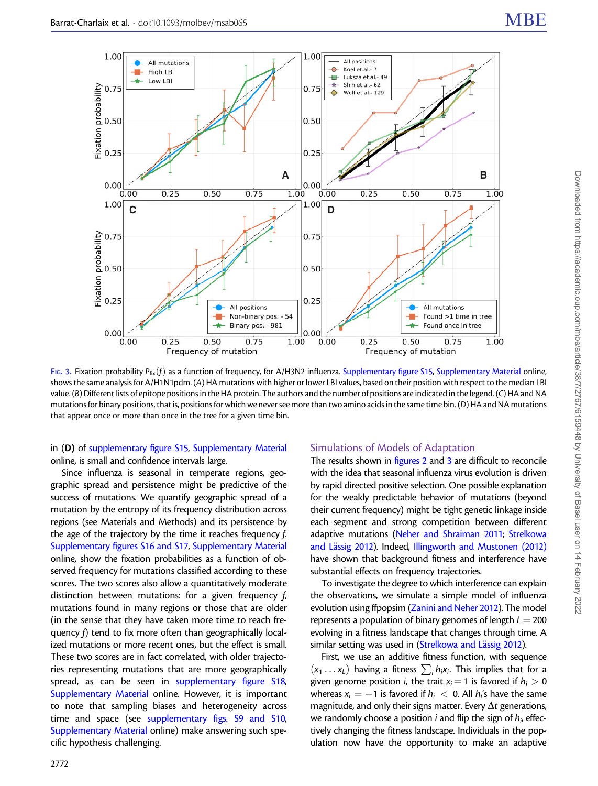<span id="page-5-0"></span>

FIG. 3. Fixation probability  $P_{fix}(f)$  as a function of frequency, for A/H3N2 influenza. Supplementary figure S15, Supplementary Material online, shows the same analysis for A/H1N1pdm. (A) HA mutations with higher or lower LBI values, based on their position with respect to the median LBI value. (B) Different lists of epitope positions in the HA protein. The authors and the number of positions are indicated in the legend. (C) HA and NA mutations for binary positions, that is, positions for which we never see more than two amino acids in the same time bin. (D) HA and NA mutations that appear once or more than once in the tree for a given time bin.

in (D) of supplementary figure S15, Supplementary Material online, is small and confidence intervals large.

Since influenza is seasonal in temperate regions, geographic spread and persistence might be predictive of the success of mutations. We quantify geographic spread of a mutation by the entropy of its frequency distribution across regions (see Materials and Methods) and its persistence by the age of the trajectory by the time it reaches frequency f. Supplementary figures S16 and S17, Supplementary Material online, show the fixation probabilities as a function of observed frequency for mutations classified according to these scores. The two scores also allow a quantitatively moderate distinction between mutations: for a given frequency f, mutations found in many regions or those that are older (in the sense that they have taken more time to reach frequency f) tend to fix more often than geographically localized mutations or more recent ones, but the effect is small. These two scores are in fact correlated, with older trajectories representing mutations that are more geographically spread, as can be seen in supplementary figure S18, Supplementary Material online. However, it is important to note that sampling biases and heterogeneity across time and space (see supplementary figs. S9 and S10, Supplementary Material online) make answering such specific hypothesis challenging.

#### Simulations of Models of Adaptation

The results shown in [figures 2](#page-4-0) and 3 are difficult to reconcile with the idea that seasonal influenza virus evolution is driven by rapid directed positive selection. One possible explanation for the weakly predictable behavior of mutations (beyond their current frequency) might be tight genetic linkage inside each segment and strong competition between different adaptive mutations [\(Neher and Shraiman 2011;](#page-10-0) [Strelkowa](#page-10-0) [and L](#page-10-0)ässig 2012). Indeed, [Illingworth and Mustonen \(2012\)](#page-10-0) have shown that background fitness and interference have substantial effects on frequency trajectories.

To investigate the degree to which interference can explain the observations, we simulate a simple model of influenza evolution using ffpopsim [\(Zanini and Neher 2012](#page-10-0)). The model represents a population of binary genomes of length  $L = 200$ evolving in a fitness landscape that changes through time. A similar setting was used in [\(Strelkowa and L](#page-10-0)ässig 2012).

First, we use an additive fitness function, with sequence  $(x_1 \ldots x_k)$  having a fitness  $\sum_i h_i x_i$ . This implies that for a given genome position *i*, the trait  $x_i = 1$  is favored if  $h_i > 0$ whereas  $x_i = -1$  is favored if  $h_i < 0$ . All  $h_i$ 's have the same magnitude, and only their signs matter. Every  $\Delta t$  generations, we randomly choose a position  $i$  and flip the sign of  $h_i$ , effectively changing the fitness landscape. Individuals in the population now have the opportunity to make an adaptive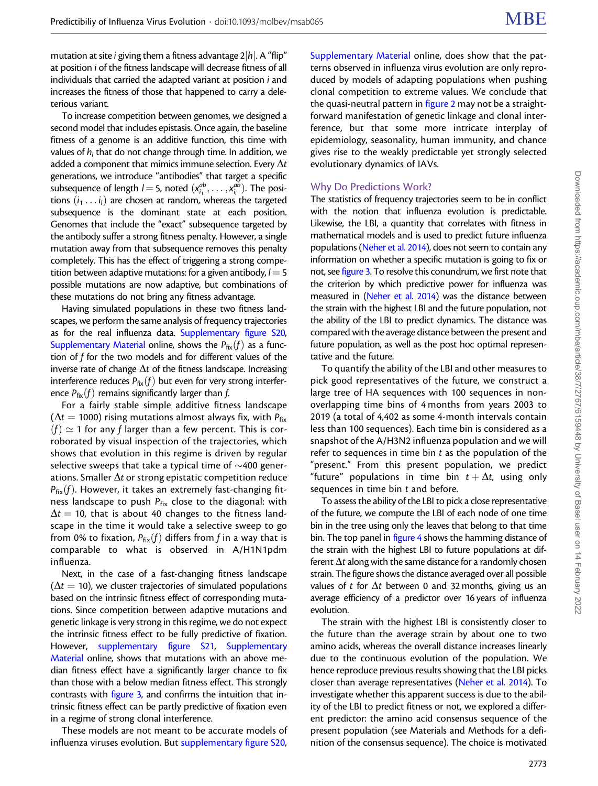mutation at site *i* giving them a fitness advantage  $2|h|$ . A "flip" at position i of the fitness landscape will decrease fitness of all individuals that carried the adapted variant at position i and increases the fitness of those that happened to carry a deleterious variant.

To increase competition between genomes, we designed a second model that includes epistasis. Once again, the baseline fitness of a genome is an additive function, this time with values of  $h_i$  that do not change through time. In addition, we added a component that mimics immune selection. Every  $\Delta t$ generations, we introduce "antibodies" that target a specific subsequence of length  $l = 5$ , noted  $(x_{i_1}^{ab}, \ldots, x_{i_l}^{ab})$ . The positions  $(i_1 \ldots i_l)$  are chosen at random, whereas the targeted subsequence is the dominant state at each position. Genomes that include the "exact" subsequence targeted by the antibody suffer a strong fitness penalty. However, a single mutation away from that subsequence removes this penalty completely. This has the effect of triggering a strong competition between adaptive mutations: for a given antibody,  $l = 5$ possible mutations are now adaptive, but combinations of these mutations do not bring any fitness advantage.

Having simulated populations in these two fitness landscapes, we perform the same analysis of frequency trajectories as for the real influenza data. Supplementary figure S20, Supplementary Material online, shows the  $P_{fix}(f)$  as a function of f for the two models and for different values of the inverse rate of change  $\Delta t$  of the fitness landscape. Increasing interference reduces  $P_{fix}(f)$  but even for very strong interference  $P_{fix}(f)$  remains significantly larger than f.

For a fairly stable simple additive fitness landscape ( $\Delta t$  = 1000) rising mutations almost always fix, with P<sub>fix</sub>  $f(\mathbf{f}) \simeq 1$  for any f larger than a few percent. This is corroborated by visual inspection of the trajectories, which shows that evolution in this regime is driven by regular selective sweeps that take a typical time of  $\sim$ 400 generations. Smaller  $\Delta t$  or strong epistatic competition reduce  $P_{fix}(f)$ . However, it takes an extremely fast-changing fitness landscape to push  $P_{fix}$  close to the diagonal: with  $\Delta t = 10$ , that is about 40 changes to the fitness landscape in the time it would take a selective sweep to go from 0% to fixation,  $P_{fix}(f)$  differs from f in a way that is comparable to what is observed in A/H1N1pdm influenza.

Next, in the case of a fast-changing fitness landscape  $(\Delta t = 10)$ , we cluster trajectories of simulated populations based on the intrinsic fitness effect of corresponding mutations. Since competition between adaptive mutations and genetic linkage is very strong in this regime, we do not expect the intrinsic fitness effect to be fully predictive of fixation. However, supplementary figure S21, Supplementary Material online, shows that mutations with an above median fitness effect have a significantly larger chance to fix than those with a below median fitness effect. This strongly contrasts with [figure 3,](#page-5-0) and confirms the intuition that intrinsic fitness effect can be partly predictive of fixation even in a regime of strong clonal interference.

These models are not meant to be accurate models of influenza viruses evolution. But supplementary figure S20,

Supplementary Material online, does show that the patterns observed in influenza virus evolution are only reproduced by models of adapting populations when pushing clonal competition to extreme values. We conclude that the quasi-neutral pattern in [figure 2](#page-4-0) may not be a straightforward manifestation of genetic linkage and clonal interference, but that some more intricate interplay of epidemiology, seasonality, human immunity, and chance gives rise to the weakly predictable yet strongly selected evolutionary dynamics of IAVs.

## Why Do Predictions Work?

The statistics of frequency trajectories seem to be in conflict with the notion that influenza evolution is predictable. Likewise, the LBI, a quantity that correlates with fitness in mathematical models and is used to predict future influenza populations ([Neher et al. 2014](#page-10-0)), does not seem to contain any information on whether a specific mutation is going to fix or not, see [figure 3.](#page-5-0) To resolve this conundrum, we first note that the criterion by which predictive power for influenza was measured in [\(Neher et al. 2014\)](#page-10-0) was the distance between the strain with the highest LBI and the future population, not the ability of the LBI to predict dynamics. The distance was compared with the average distance between the present and future population, as well as the post hoc optimal representative and the future.

To quantify the ability of the LBI and other measures to pick good representatives of the future, we construct a large tree of HA sequences with 100 sequences in nonoverlapping time bins of 4 months from years 2003 to 2019 (a total of 4,402 as some 4-month intervals contain less than 100 sequences). Each time bin is considered as a snapshot of the A/H3N2 influenza population and we will refer to sequences in time bin  $t$  as the population of the "present." From this present population, we predict "future" populations in time bin  $t + \Delta t$ , using only sequences in time bin t and before.

To assess the ability of the LBI to pick a close representative of the future, we compute the LBI of each node of one time bin in the tree using only the leaves that belong to that time bin. The top panel in [figure 4](#page-7-0) shows the hamming distance of the strain with the highest LBI to future populations at different  $\Delta t$  along with the same distance for a randomly chosen strain. The figure shows the distance averaged over all possible values of t for  $\Delta t$  between 0 and 32 months, giving us an average efficiency of a predictor over 16 years of influenza evolution.

The strain with the highest LBI is consistently closer to the future than the average strain by about one to two amino acids, whereas the overall distance increases linearly due to the continuous evolution of the population. We hence reproduce previous results showing that the LBI picks closer than average representatives ([Neher et al. 2014\)](#page-10-0). To investigate whether this apparent success is due to the ability of the LBI to predict fitness or not, we explored a different predictor: the amino acid consensus sequence of the present population (see Materials and Methods for a definition of the consensus sequence). The choice is motivated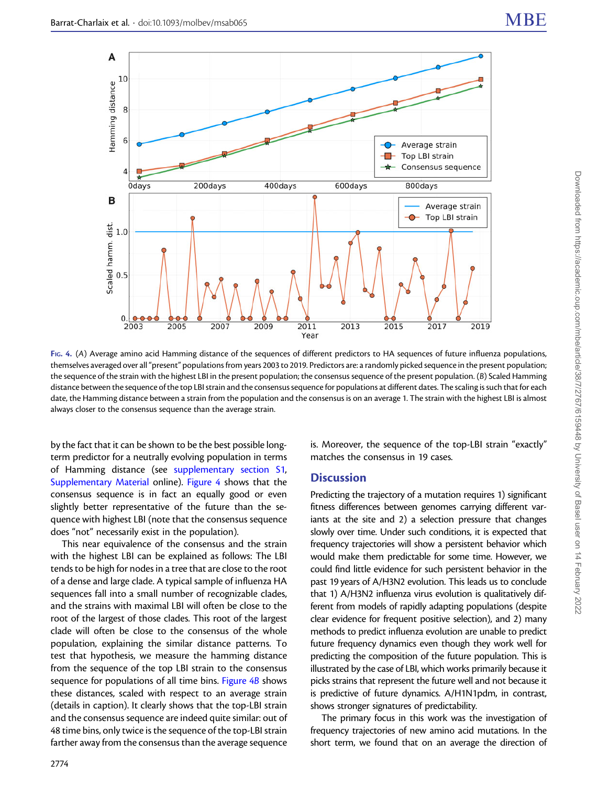<span id="page-7-0"></span>

FIG. 4. (A) Average amino acid Hamming distance of the sequences of different predictors to HA sequences of future influenza populations, themselves averaged over all "present" populations from years 2003 to 2019. Predictors are: a randomly picked sequence in the present population; the sequence of the strain with the highest LBI in the present population; the consensus sequence of the present population. (B) Scaled Hamming distance between the sequence of the top LBI strain and the consensus sequence for populations at different dates. The scaling is such that for each date, the Hamming distance between a strain from the population and the consensus is on an average 1. The strain with the highest LBI is almost always closer to the consensus sequence than the average strain.

by the fact that it can be shown to be the best possible longterm predictor for a neutrally evolving population in terms of Hamming distance (see supplementary section S1, Supplementary Material online). Figure 4 shows that the consensus sequence is in fact an equally good or even slightly better representative of the future than the sequence with highest LBI (note that the consensus sequence does "not" necessarily exist in the population).

This near equivalence of the consensus and the strain with the highest LBI can be explained as follows: The LBI tends to be high for nodes in a tree that are close to the root of a dense and large clade. A typical sample of influenza HA sequences fall into a small number of recognizable clades, and the strains with maximal LBI will often be close to the root of the largest of those clades. This root of the largest clade will often be close to the consensus of the whole population, explaining the similar distance patterns. To test that hypothesis, we measure the hamming distance from the sequence of the top LBI strain to the consensus sequence for populations of all time bins. Figure 4B shows these distances, scaled with respect to an average strain (details in caption). It clearly shows that the top-LBI strain and the consensus sequence are indeed quite similar: out of 48 time bins, only twice is the sequence of the top-LBI strain farther away from the consensus than the average sequence

2774

is. Moreover, the sequence of the top-LBI strain "exactly" matches the consensus in 19 cases.

# **Discussion**

Predicting the trajectory of a mutation requires 1) significant fitness differences between genomes carrying different variants at the site and 2) a selection pressure that changes slowly over time. Under such conditions, it is expected that frequency trajectories will show a persistent behavior which would make them predictable for some time. However, we could find little evidence for such persistent behavior in the past 19 years of A/H3N2 evolution. This leads us to conclude that 1) A/H3N2 influenza virus evolution is qualitatively different from models of rapidly adapting populations (despite clear evidence for frequent positive selection), and 2) many methods to predict influenza evolution are unable to predict future frequency dynamics even though they work well for predicting the composition of the future population. This is illustrated by the case of LBI, which works primarily because it picks strains that represent the future well and not because it is predictive of future dynamics. A/H1N1pdm, in contrast, shows stronger signatures of predictability.

The primary focus in this work was the investigation of frequency trajectories of new amino acid mutations. In the short term, we found that on an average the direction of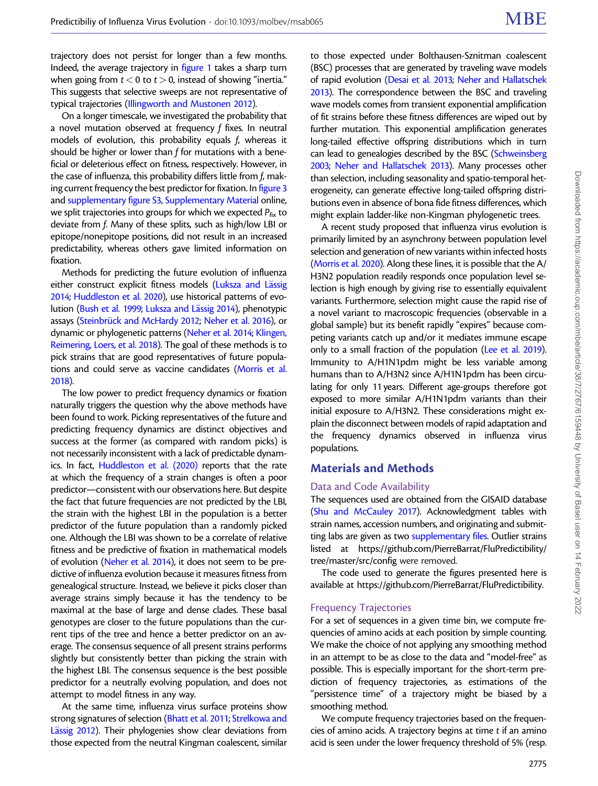trajectory does not persist for longer than a few months. Indeed, the average trajectory in [figure 1](#page-2-0) takes a sharp turn when going from  $t < 0$  to  $t > 0$ , instead of showing "inertia." This suggests that selective sweeps are not representative of typical trajectories [\(Illingworth and Mustonen 2012](#page-10-0)).

On a longer timescale, we investigated the probability that a novel mutation observed at frequency f fixes. In neutral models of evolution, this probability equals f, whereas it should be higher or lower than f for mutations with a beneficial or deleterious effect on fitness, respectively. However, in the case of influenza, this probability differs little from f, making current frequency the best predictor for fixation. In [figure 3](#page-5-0) and supplementary figure S3, Supplementary Material online, we split trajectories into groups for which we expected  $P_{fix}$  to deviate from f. Many of these splits, such as high/low LBI or epitope/nonepitope positions, did not result in an increased predictability, whereas others gave limited information on fixation.

Methods for predicting the future evolution of influenza either construct explicit fitness models ([Luksza and L](#page-10-0)ässig [2014;](#page-10-0) [Huddleston et al. 2020\)](#page-10-0), use historical patterns of evo-lution [\(Bush et al. 1999;](#page-10-0) [Luksza and L](#page-10-0)ä[ssig 2014](#page-10-0)), phenotypic assays (Steinbrück and McHardy 2012; [Neher et al. 2016\)](#page-10-0), or dynamic or phylogenetic patterns [\(Neher et al. 2014;](#page-10-0) [Klingen,](#page-10-0) [Reimering, Loers, et al. 2018\)](#page-10-0). The goal of these methods is to pick strains that are good representatives of future populations and could serve as vaccine candidates [\(Morris et al.](#page-10-0) [2018\)](#page-10-0).

The low power to predict frequency dynamics or fixation naturally triggers the question why the above methods have been found to work. Picking representatives of the future and predicting frequency dynamics are distinct objectives and success at the former (as compared with random picks) is not necessarily inconsistent with a lack of predictable dynamics. In fact, [Huddleston et al. \(2020\)](#page-10-0) reports that the rate at which the frequency of a strain changes is often a poor predictor—consistent with our observations here. But despite the fact that future frequencies are not predicted by the LBI, the strain with the highest LBI in the population is a better predictor of the future population than a randomly picked one. Although the LBI was shown to be a correlate of relative fitness and be predictive of fixation in mathematical models of evolution ([Neher et al. 2014](#page-10-0)), it does not seem to be predictive of influenza evolution because it measures fitness from genealogical structure. Instead, we believe it picks closer than average strains simply because it has the tendency to be maximal at the base of large and dense clades. These basal genotypes are closer to the future populations than the current tips of the tree and hence a better predictor on an average. The consensus sequence of all present strains performs slightly but consistently better than picking the strain with the highest LBI. The consensus sequence is the best possible predictor for a neutrally evolving population, and does not attempt to model fitness in any way.

At the same time, influenza virus surface proteins show strong signatures of selection [\(Bhatt et al. 2011;](#page-10-0) [Strelkowa and](#page-10-0) [L](#page-10-0)ässig 2012). Their phylogenies show clear deviations from those expected from the neutral Kingman coalescent, similar

to those expected under Bolthausen-Sznitman coalescent (BSC) processes that are generated by traveling wave models of rapid evolution [\(Desai et al. 2013;](#page-10-0) [Neher and Hallatschek](#page-10-0) [2013\)](#page-10-0). The correspondence between the BSC and traveling wave models comes from transient exponential amplification of fit strains before these fitness differences are wiped out by further mutation. This exponential amplification generates long-tailed effective offspring distributions which in turn can lead to genealogies described by the BSC [\(Schweinsberg](#page-10-0) [2003;](#page-10-0) [Neher and Hallatschek 2013](#page-10-0)). Many processes other than selection, including seasonality and spatio-temporal heterogeneity, can generate effective long-tailed offspring distributions even in absence of bona fide fitness differences, which might explain ladder-like non-Kingman phylogenetic trees.

A recent study proposed that influenza virus evolution is primarily limited by an asynchrony between population level selection and generation of new variants within infected hosts [\(Morris et al. 2020](#page-10-0)). Along these lines, it is possible that the A/ H3N2 population readily responds once population level selection is high enough by giving rise to essentially equivalent variants. Furthermore, selection might cause the rapid rise of a novel variant to macroscopic frequencies (observable in a global sample) but its benefit rapidly "expires" because competing variants catch up and/or it mediates immune escape only to a small fraction of the population [\(Lee et al. 2019\)](#page-10-0). Immunity to A/H1N1pdm might be less variable among humans than to A/H3N2 since A/H1N1pdm has been circulating for only 11 years. Different age-groups therefore got exposed to more similar A/H1N1pdm variants than their initial exposure to A/H3N2. These considerations might explain the disconnect between models of rapid adaptation and the frequency dynamics observed in influenza virus populations.

# Materials and Methods

#### Data and Code Availability

The sequences used are obtained from the GISAID database [\(Shu and McCauley 2017\)](#page-10-0). Acknowledgment tables with strain names, accession numbers, and originating and submitting labs are given as two supplementary files. Outlier strains listed at [https://github.com/PierreBarrat/FluPredictibility/](https://github.com/PierreBarrat/FluPredictibility/tree/master/src/config) [tree/master/src/config](https://github.com/PierreBarrat/FluPredictibility/tree/master/src/config) were removed.

The code used to generate the figures presented here is available at [https://github.com/PierreBarrat/FluPredictibility.](https://github.com/PierreBarrat/FluPredictibility)

#### Frequency Trajectories

For a set of sequences in a given time bin, we compute frequencies of amino acids at each position by simple counting. We make the choice of not applying any smoothing method in an attempt to be as close to the data and "model-free" as possible. This is especially important for the short-term prediction of frequency trajectories, as estimations of the "persistence time" of a trajectory might be biased by a smoothing method.

We compute frequency trajectories based on the frequencies of amino acids. A trajectory begins at time  $t$  if an amino acid is seen under the lower frequency threshold of 5% (resp.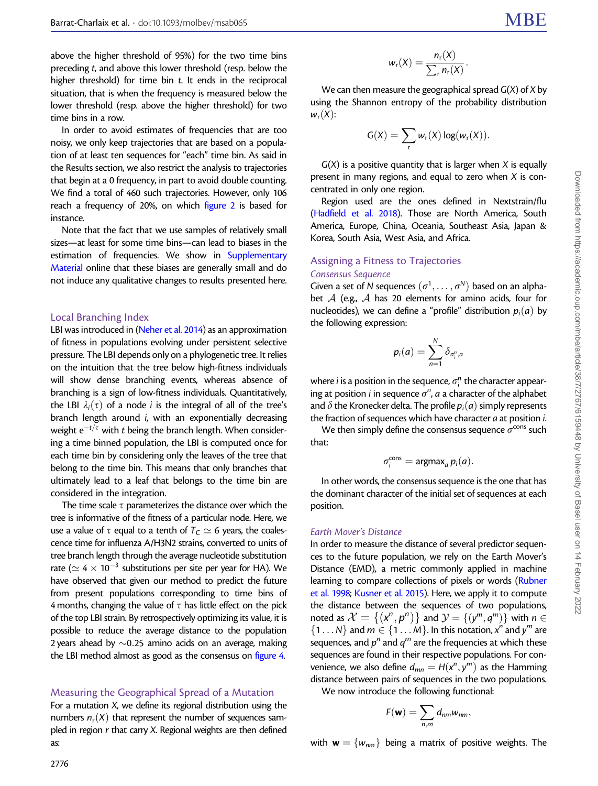above the higher threshold of 95%) for the two time bins preceding t, and above this lower threshold (resp. below the higher threshold) for time bin  $t$ . It ends in the reciprocal situation, that is when the frequency is measured below the lower threshold (resp. above the higher threshold) for two time bins in a row.

In order to avoid estimates of frequencies that are too noisy, we only keep trajectories that are based on a population of at least ten sequences for "each" time bin. As said in the Results section, we also restrict the analysis to trajectories that begin at a 0 frequency, in part to avoid double counting. We find a total of 460 such trajectories. However, only 106 reach a frequency of 20%, on which [figure 2](#page-4-0) is based for instance.

Note that the fact that we use samples of relatively small sizes—at least for some time bins—can lead to biases in the estimation of frequencies. We show in Supplementary Material online that these biases are generally small and do not induce any qualitative changes to results presented here.

## Local Branching Index

LBI was introduced in [\(Neher et al. 2014\)](#page-10-0) as an approximation of fitness in populations evolving under persistent selective pressure. The LBI depends only on a phylogenetic tree. It relies on the intuition that the tree below high-fitness individuals will show dense branching events, whereas absence of branching is a sign of low-fitness individuals. Quantitatively, the LBI  $\lambda_i(\tau)$  of a node *i* is the integral of all of the tree's branch length around i, with an exponentially decreasing weight  $\mathrm{e}^{-t/\tau}$  with  $t$  being the branch length. When considering a time binned population, the LBI is computed once for each time bin by considering only the leaves of the tree that belong to the time bin. This means that only branches that ultimately lead to a leaf that belongs to the time bin are considered in the integration.

The time scale  $\tau$  parameterizes the distance over which the tree is informative of the fitness of a particular node. Here, we use a value of  $\tau$  equal to a tenth of  $T_c \simeq 6$  years, the coalescence time for influenza A/H3N2 strains, converted to units of tree branch length through the average nucleotide substitution rate ( $\simeq$  4  $\times$  10 $^{-3}$  substitutions per site per year for HA). We have observed that given our method to predict the future from present populations corresponding to time bins of 4 months, changing the value of  $\tau$  has little effect on the pick of the top LBI strain. By retrospectively optimizing its value, it is possible to reduce the average distance to the population 2 years ahead by  $\sim$ 0.25 amino acids on an average, making the LBI method almost as good as the consensus on [figure 4](#page-7-0).

#### Measuring the Geographical Spread of a Mutation

For a mutation X, we define its regional distribution using the numbers  $n_r(X)$  that represent the number of sequences sampled in region  $r$  that carry X. Regional weights are then defined as:

$$
w_{r}(X)=\frac{n_{r}(X)}{\sum_{r}n_{r}(X)}.
$$

We can then measure the geographical spread  $G(X)$  of X by using the Shannon entropy of the probability distribution  $w_r(X)$ :

$$
G(X) = \sum_{r} w_r(X) \log(w_r(X)).
$$

 $G(X)$  is a positive quantity that is larger when X is equally present in many regions, and equal to zero when X is concentrated in only one region.

Region used are the ones defined in Nextstrain/flu [\(Hadfield et al. 2018\)](#page-10-0). Those are North America, South America, Europe, China, Oceania, Southeast Asia, Japan & Korea, South Asia, West Asia, and Africa.

# Assigning a Fitness to Trajectories Consensus Sequence

Given a set of N sequences  $(\sigma^1, \ldots, \sigma^N)$  based on an alphabet  $A$  (e.g.,  $A$  has 20 elements for amino acids, four for nucleotides), we can define a "profile" distribution  $p_i(a)$  by the following expression:

$$
p_i(a) = \sum_{n=1}^N \delta_{\sigma_i^n,a}
$$

where *i* is a position in the sequence,  $\sigma_i^n$  the character appearing at position *i* in sequence  $\sigma^n$ , *a* a character of the alphabet and  $\delta$  the Kronecker delta. The profile  $p_i(a)$  simply represents the fraction of sequences which have character  $a$  at position  $i$ .

We then simply define the consensus sequence  $\sigma^{\text{cons}}$  such that:

$$
\sigma_i^{\text{cons}} = \text{argmax}_a p_i(a).
$$

In other words, the consensus sequence is the one that has the dominant character of the initial set of sequences at each position.

#### Earth Mover's Distance

In order to measure the distance of several predictor sequences to the future population, we rely on the Earth Mover's Distance (EMD), a metric commonly applied in machine learning to compare collections of pixels or words [\(Rubner](#page-10-0) [et al. 1998;](#page-10-0) [Kusner et al. 2015](#page-10-0)). Here, we apply it to compute the distance between the sequences of two populations, noted as  $\mathcal{X} = \{(\mathsf{x}^n, \mathsf{p}^n)\}$  and  $\mathcal{Y} = \{(\mathsf{y}^m, \mathsf{q}^m)\}$  with  $\mathsf{n} \in \mathcal{Y}$  $\{1 \dots N\}$  and  $m \in \{1 \dots M\}$ . In this notation,  $x^n$  and  $y^m$  are sequences, and  $p^n$  and  $q^m$  are the frequencies at which these sequences are found in their respective populations. For convenience, we also define  $d_{mn} = H(x^n, y^m)$  as the Hamming distance between pairs of sequences in the two populations.

We now introduce the following functional:

$$
F(\mathbf{w})=\sum_{n,m}d_{nm}w_{nm},
$$

with  $\mathbf{w} = \{w_{nm}\}\$  being a matrix of positive weights. The